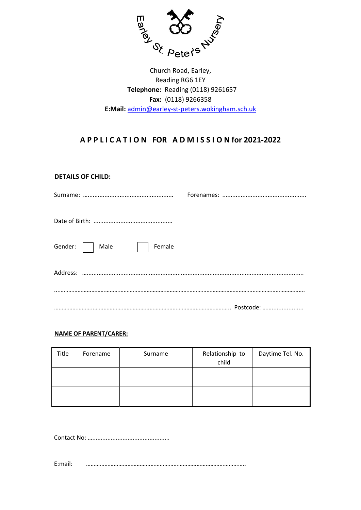

Reading RG6 1EY  **Telephone:** Reading (0118) 9261657 **Fax:** (0118) 9266358 **E:Mail:** admin@earley-st-peters.wokingham.sch.uk Church Road, Earley,

# **A P P L I C A T I O N FOR A D M I S S I O N for 2021-2022**

# **DETAILS OF CHILD:**

| Gender:     Male  <br>Female |  |
|------------------------------|--|
|                              |  |
|                              |  |

## **NAME OF PARENT/CARER:**

| Title | Forename | Surname | Relationship to<br>child | Daytime Tel. No. |
|-------|----------|---------|--------------------------|------------------|
|       |          |         |                          |                  |
|       |          |         |                          |                  |

Contact No: …..............................................

E:mail: …………………………………………………………………………………………..